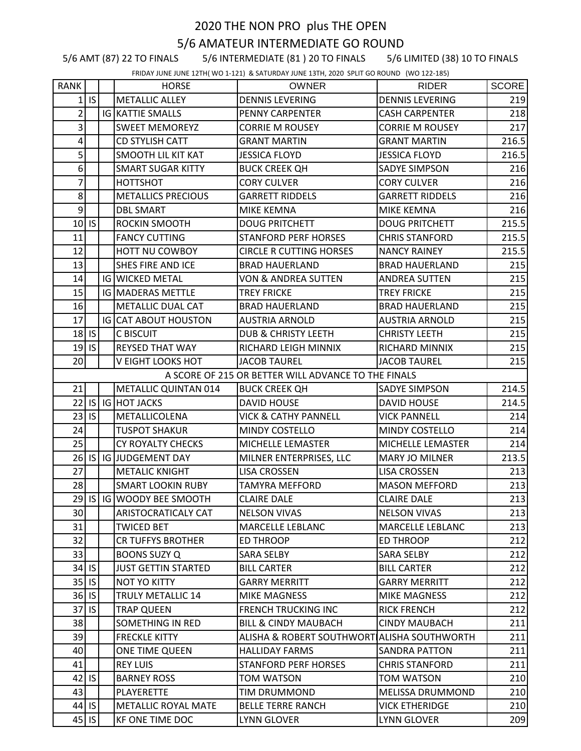## 2020 THE NON PRO plus THE OPEN 5/6 AMATEUR INTERMEDIATE GO ROUND

5/6 AMT (87) 22 TO FINALS 5/6 INTERMEDIATE (81 ) 20 TO FINALS 5/6 LIMITED (38) 10 TO FINALS

FRIDAY JUNE JUNE 12TH( WO 1-121) & SATURDAY JUNE 13TH, 2020 SPLIT GO ROUND (WO 122-185)

| <b>RANK</b>      |           | <b>HORSE</b>                | <b>OWNER</b>                                        | <b>RIDER</b>             | <b>SCORE</b> |
|------------------|-----------|-----------------------------|-----------------------------------------------------|--------------------------|--------------|
| $1\vert$         | IS.       | <b>METALLIC ALLEY</b>       | <b>DENNIS LEVERING</b>                              | <b>DENNIS LEVERING</b>   | 219          |
| $\overline{2}$   |           | <b>IG KATTIE SMALLS</b>     | PENNY CARPENTER                                     | <b>CASH CARPENTER</b>    | 218          |
| 3                |           | <b>SWEET MEMOREYZ</b>       | <b>CORRIE M ROUSEY</b>                              | <b>CORRIE M ROUSEY</b>   | 217          |
| 4                |           | <b>CD STYLISH CATT</b>      | <b>GRANT MARTIN</b>                                 | <b>GRANT MARTIN</b>      | 216.5        |
| $\overline{5}$   |           | <b>SMOOTH LIL KIT KAT</b>   | <b>JESSICA FLOYD</b>                                | <b>JESSICA FLOYD</b>     | 216.5        |
| $6 \overline{6}$ |           | <b>SMART SUGAR KITTY</b>    | <b>BUCK CREEK QH</b>                                | <b>SADYE SIMPSON</b>     | 216          |
| 7                |           | HOTTSHOT                    | <b>CORY CULVER</b>                                  | <b>CORY CULVER</b>       | 216          |
| 8 <sup>1</sup>   |           | <b>METALLICS PRECIOUS</b>   | <b>GARRETT RIDDELS</b>                              | <b>GARRETT RIDDELS</b>   | 216          |
| $\overline{9}$   |           | <b>DBL SMART</b>            | MIKE KEMNA                                          | <b>MIKE KEMNA</b>        | 216          |
| 10 <sub>1</sub>  | IS        | <b>ROCKIN SMOOTH</b>        | <b>DOUG PRITCHETT</b>                               | <b>DOUG PRITCHETT</b>    | 215.5        |
| 11               |           | <b>FANCY CUTTING</b>        | <b>STANFORD PERF HORSES</b>                         | <b>CHRIS STANFORD</b>    | 215.5        |
| 12               |           | HOTT NU COWBOY              | <b>CIRCLE R CUTTING HORSES</b>                      | <b>NANCY RAINEY</b>      | 215.5        |
| 13               |           | SHES FIRE AND ICE           | <b>BRAD HAUERLAND</b>                               | <b>BRAD HAUERLAND</b>    | 215          |
| 14               |           | <b>IG WICKED METAL</b>      | <b>VON &amp; ANDREA SUTTEN</b>                      | <b>ANDREA SUTTEN</b>     | 215          |
| 15               |           | <b>IG MADERAS METTLE</b>    | <b>TREY FRICKE</b>                                  | <b>TREY FRICKE</b>       | 215          |
| 16               |           | METALLIC DUAL CAT           | <b>BRAD HAUERLAND</b>                               | <b>BRAD HAUERLAND</b>    | 215          |
| 17               |           | <b>IG CAT ABOUT HOUSTON</b> | <b>AUSTRIA ARNOLD</b>                               | <b>AUSTRIA ARNOLD</b>    | 215          |
|                  | $18$ IS   | C BISCUIT                   | <b>DUB &amp; CHRISTY LEETH</b>                      | <b>CHRISTY LEETH</b>     | 215          |
| 19               | IS        | <b>REYSED THAT WAY</b>      | RICHARD LEIGH MINNIX                                | <b>RICHARD MINNIX</b>    | 215          |
| 20               |           | V EIGHT LOOKS HOT           | <b>JACOB TAUREL</b>                                 | <b>JACOB TAUREL</b>      | 215          |
|                  |           |                             | A SCORE OF 215 OR BETTER WILL ADVANCE TO THE FINALS |                          |              |
| 21               |           | METALLIC QUINTAN 014        | <b>BUCK CREEK QH</b>                                | <b>SADYE SIMPSON</b>     | 214.5        |
| 22               |           | IS IG HOT JACKS             | <b>DAVID HOUSE</b>                                  | <b>DAVID HOUSE</b>       | 214.5        |
| 23               | IS        | METALLICOLENA               | <b>VICK &amp; CATHY PANNELL</b>                     | <b>VICK PANNELL</b>      | 214          |
| 24               |           | <b>TUSPOT SHAKUR</b>        | MINDY COSTELLO                                      | <b>MINDY COSTELLO</b>    | 214          |
| 25               |           | CY ROYALTY CHECKS           | MICHELLE LEMASTER                                   | <b>MICHELLE LEMASTER</b> | 214          |
| 26               |           | IS IG JUDGEMENT DAY         | MILNER ENTERPRISES, LLC                             | <b>MARY JO MILNER</b>    | 213.5        |
| 27               |           | <b>METALIC KNIGHT</b>       | <b>LISA CROSSEN</b>                                 | <b>LISA CROSSEN</b>      | 213          |
| 28               |           | <b>SMART LOOKIN RUBY</b>    | <b>TAMYRA MEFFORD</b>                               | <b>MASON MEFFORD</b>     | 213          |
|                  |           | 29 IS IG WOODY BEE SMOOTH   | <b>CLAIRE DALE</b>                                  | <b>CLAIRE DALE</b>       | 213          |
| 30 <sub>l</sub>  |           | ARISTOCRATICALY CAT         | <b>NELSON VIVAS</b>                                 | <b>NELSON VIVAS</b>      | 213          |
| 31               |           | <b>TWICED BET</b>           | <b>MARCELLE LEBLANC</b>                             | <b>MARCELLE LEBLANC</b>  | 213          |
| 32               |           | <b>CR TUFFYS BROTHER</b>    | <b>ED THROOP</b>                                    | <b>ED THROOP</b>         | 212          |
| 33               |           | <b>BOONS SUZY Q</b>         | <b>SARA SELBY</b>                                   | <b>SARA SELBY</b>        | 212          |
|                  | $34$ IS   | <b>JUST GETTIN STARTED</b>  | <b>BILL CARTER</b>                                  | <b>BILL CARTER</b>       | 212          |
|                  | $35$ IS   | NOT YO KITTY                | <b>GARRY MERRITT</b>                                | <b>GARRY MERRITT</b>     | 212          |
|                  | $36$ IS   | <b>TRULY METALLIC 14</b>    | <b>MIKE MAGNESS</b>                                 | <b>MIKE MAGNESS</b>      | 212          |
| 37               | <b>IS</b> | <b>TRAP QUEEN</b>           | <b>FRENCH TRUCKING INC</b>                          | <b>RICK FRENCH</b>       | 212          |
| 38               |           | <b>SOMETHING IN RED</b>     | <b>BILL &amp; CINDY MAUBACH</b>                     | <b>CINDY MAUBACH</b>     | 211          |
| 39               |           | <b>FRECKLE KITTY</b>        | ALISHA & ROBERT SOUTHWORT ALISHA SOUTHWORTH         |                          | 211          |
| 40               |           | ONE TIME QUEEN              | <b>HALLIDAY FARMS</b>                               | <b>SANDRA PATTON</b>     | 211          |
| 41               |           | <b>REY LUIS</b>             | <b>STANFORD PERF HORSES</b>                         | <b>CHRIS STANFORD</b>    | 211          |
| 42               | IS.       | <b>BARNEY ROSS</b>          | TOM WATSON                                          | TOM WATSON               | 210          |
| 43               |           | <b>PLAYERETTE</b>           | <b>TIM DRUMMOND</b>                                 | <b>MELISSA DRUMMOND</b>  | 210          |
|                  | $44$ IS   | <b>METALLIC ROYAL MATE</b>  | <b>BELLE TERRE RANCH</b>                            | <b>VICK ETHERIDGE</b>    | 210          |
|                  | $45$ IS   | <b>KF ONE TIME DOC</b>      | LYNN GLOVER                                         | <b>LYNN GLOVER</b>       | 209          |